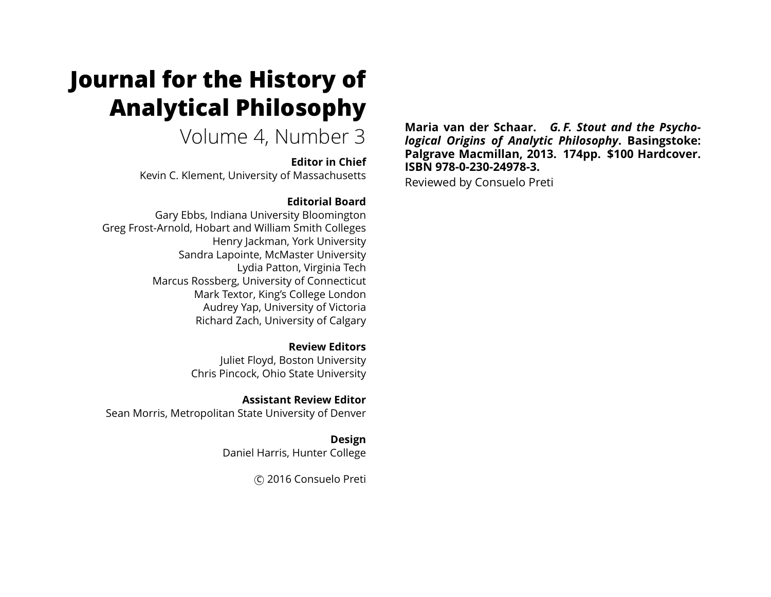# **Journal for the History of Analytical Philosophy**

Volume 4, Number 3

**Editor in Chief** Kevin C. Klement, University of Massachusetts

#### **Editorial Board**

Gary Ebbs, Indiana University Bloomington Greg Frost-Arnold, Hobart and William Smith Colleges Henry Jackman, York University Sandra Lapointe, McMaster University Lydia Patton, Virginia Tech Marcus Rossberg, University of Connecticut Mark Textor, King's College London Audrey Yap, University of Victoria Richard Zach, University of Calgary

> **Review Editors** Juliet Floyd, Boston University Chris Pincock, Ohio State University

**Assistant Review Editor** Sean Morris, Metropolitan State University of Denver

> **Design** Daniel Harris, Hunter College

> > c 2016 Consuelo Preti

**Maria van der Schaar.** *G. F. Stout and the Psychological Origins of Analytic Philosophy***. Basingstoke: Palgrave Macmillan, 2013. 174pp. \$100 Hardcover. ISBN 978-0-230-24978-3.**

Reviewed by Consuelo Preti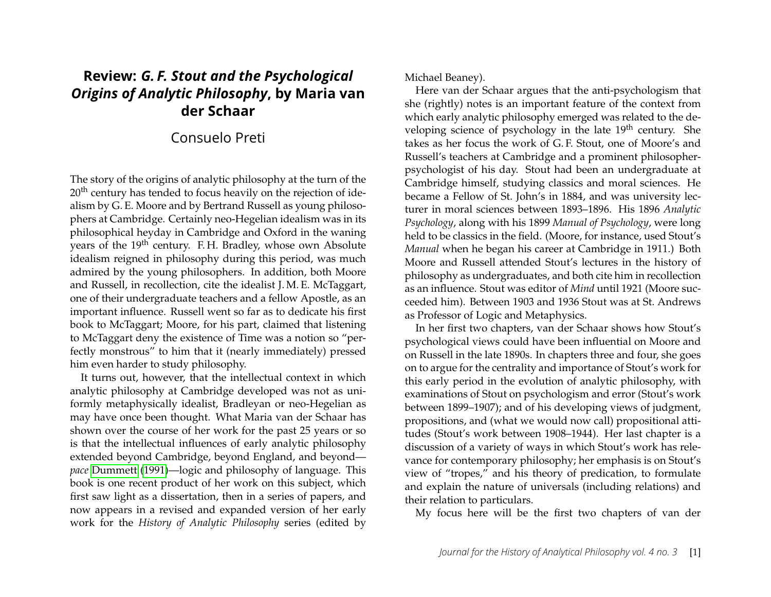## **Review:** *G. F. Stout and the Psychological Origins of Analytic Philosophy***, by Maria van der Schaar**

## Consuelo Preti

The story of the origins of analytic philosophy at the turn of the 20<sup>th</sup> century has tended to focus heavily on the rejection of idealism by G. E. Moore and by Bertrand Russell as young philosophers at Cambridge. Certainly neo-Hegelian idealism was in its philosophical heyday in Cambridge and Oxford in the waning years of the 19<sup>th</sup> century. F.H. Bradley, whose own Absolute idealism reigned in philosophy during this period, was much admired by the young philosophers. In addition, both Moore and Russell, in recollection, cite the idealist J. M. E. McTaggart, one of their undergraduate teachers and a fellow Apostle, as an important influence. Russell went so far as to dedicate his first book to McTaggart; Moore, for his part, claimed that listening to McTaggart deny the existence of Time was a notion so "perfectly monstrous" to him that it (nearly immediately) pressed him even harder to study philosophy.

It turns out, however, that the intellectual context in which analytic philosophy at Cambridge developed was not as uniformly metaphysically idealist, Bradleyan or neo-Hegelian as may have once been thought. What Maria van der Schaar has shown over the course of her work for the past 25 years or so is that the intellectual influences of early analytic philosophy extended beyond Cambridge, beyond England, and beyond *pace* [Dummett](#page-6-0) [\(1991\)](#page-6-0)—logic and philosophy of language. This book is one recent product of her work on this subject, which first saw light as a dissertation, then in a series of papers, and now appears in a revised and expanded version of her early work for the *History of Analytic Philosophy* series (edited by Michael Beaney).

Here van der Schaar argues that the anti-psychologism that she (rightly) notes is an important feature of the context from which early analytic philosophy emerged was related to the developing science of psychology in the late 19<sup>th</sup> century. She takes as her focus the work of G. F. Stout, one of Moore's and Russell's teachers at Cambridge and a prominent philosopherpsychologist of his day. Stout had been an undergraduate at Cambridge himself, studying classics and moral sciences. He became a Fellow of St. John's in 1884, and was university lecturer in moral sciences between 1893–1896. His 1896 *Analytic Psychology*, along with his 1899 *Manual of Psychology*, were long held to be classics in the field. (Moore, for instance, used Stout's *Manual* when he began his career at Cambridge in 1911.) Both Moore and Russell attended Stout's lectures in the history of philosophy as undergraduates, and both cite him in recollection as an influence. Stout was editor of *Mind* until 1921 (Moore succeeded him). Between 1903 and 1936 Stout was at St. Andrews as Professor of Logic and Metaphysics.

In her first two chapters, van der Schaar shows how Stout's psychological views could have been influential on Moore and on Russell in the late 1890s. In chapters three and four, she goes on to argue for the centrality and importance of Stout's work for this early period in the evolution of analytic philosophy, with examinations of Stout on psychologism and error (Stout's work between 1899–1907); and of his developing views of judgment, propositions, and (what we would now call) propositional attitudes (Stout's work between 1908–1944). Her last chapter is a discussion of a variety of ways in which Stout's work has relevance for contemporary philosophy; her emphasis is on Stout's view of "tropes," and his theory of predication, to formulate and explain the nature of universals (including relations) and their relation to particulars.

My focus here will be the first two chapters of van der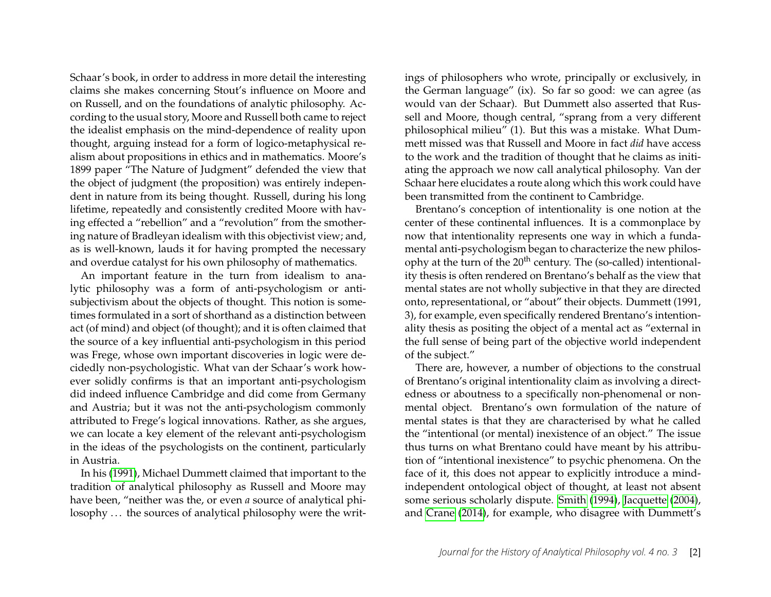Schaar's book, in order to address in more detail the interesting claims she makes concerning Stout's influence on Moore and on Russell, and on the foundations of analytic philosophy. According to the usual story, Moore and Russell both came to reject the idealist emphasis on the mind-dependence of reality upon thought, arguing instead for a form of logico-metaphysical realism about propositions in ethics and in mathematics. Moore's 1899 paper "The Nature of Judgment" defended the view that the object of judgment (the proposition) was entirely independent in nature from its being thought. Russell, during his long lifetime, repeatedly and consistently credited Moore with having effected a "rebellion" and a "revolution" from the smothering nature of Bradleyan idealism with this objectivist view; and, as is well-known, lauds it for having prompted the necessary and overdue catalyst for his own philosophy of mathematics.

An important feature in the turn from idealism to analytic philosophy was a form of anti-psychologism or antisubjectivism about the objects of thought. This notion is sometimes formulated in a sort of shorthand as a distinction between act (of mind) and object (of thought); and it is often claimed that the source of a key influential anti-psychologism in this period was Frege, whose own important discoveries in logic were decidedly non-psychologistic. What van der Schaar's work however solidly confirms is that an important anti-psychologism did indeed influence Cambridge and did come from Germany and Austria; but it was not the anti-psychologism commonly attributed to Frege's logical innovations. Rather, as she argues, we can locate a key element of the relevant anti-psychologism in the ideas of the psychologists on the continent, particularly in Austria.

In his [\(1991\)](#page-6-0), Michael Dummett claimed that important to the tradition of analytical philosophy as Russell and Moore may have been, "neither was the, or even *a* source of analytical philosophy ... the sources of analytical philosophy were the writings of philosophers who wrote, principally or exclusively, in the German language" (ix). So far so good: we can agree (as would van der Schaar). But Dummett also asserted that Russell and Moore, though central, "sprang from a very different philosophical milieu" (1). But this was a mistake. What Dummett missed was that Russell and Moore in fact *did* have access to the work and the tradition of thought that he claims as initiating the approach we now call analytical philosophy. Van der Schaar here elucidates a route along which this work could have been transmitted from the continent to Cambridge.

Brentano's conception of intentionality is one notion at the center of these continental influences. It is a commonplace by now that intentionality represents one way in which a fundamental anti-psychologism began to characterize the new philosophy at the turn of the 20<sup>th</sup> century. The (so-called) intentionality thesis is often rendered on Brentano's behalf as the view that mental states are not wholly subjective in that they are directed onto, representational, or "about" their objects. Dummett (1991, 3), for example, even specifically rendered Brentano's intentionality thesis as positing the object of a mental act as "external in the full sense of being part of the objective world independent of the subject."

There are, however, a number of objections to the construal of Brentano's original intentionality claim as involving a directedness or aboutness to a specifically non-phenomenal or nonmental object. Brentano's own formulation of the nature of mental states is that they are characterised by what he called the "intentional (or mental) inexistence of an object." The issue thus turns on what Brentano could have meant by his attribution of "intentional inexistence" to psychic phenomena. On the face of it, this does not appear to explicitly introduce a mindindependent ontological object of thought, at least not absent some serious scholarly dispute. [Smith](#page-6-1) [\(1994\)](#page-6-1), [Jacquette](#page-6-2) [\(2004\)](#page-6-2), and [Crane](#page-6-3) [\(2014\)](#page-6-3), for example, who disagree with Dummett's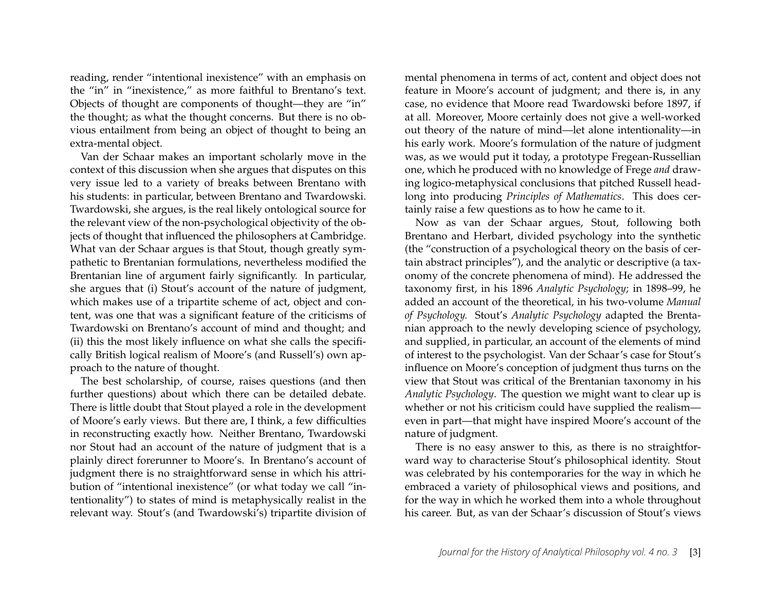reading, render "intentional inexistence" with an emphasis on the "in" in "inexistence," as more faithful to Brentano's text. Objects of thought are components of thought—they are "in" the thought; as what the thought concerns. But there is no obvious entailment from being an object of thought to being an extra-mental object.

Van der Schaar makes an important scholarly move in the context of this discussion when she argues that disputes on this very issue led to a variety of breaks between Brentano with his students: in particular, between Brentano and Twardowski. Twardowski, she argues, is the real likely ontological source for the relevant view of the non-psychological objectivity of the objects of thought that influenced the philosophers at Cambridge. What van der Schaar argues is that Stout, though greatly sympathetic to Brentanian formulations, nevertheless modified the Brentanian line of argument fairly significantly. In particular, she argues that (i) Stout's account of the nature of judgment, which makes use of a tripartite scheme of act, object and content, was one that was a significant feature of the criticisms of Twardowski on Brentano's account of mind and thought; and (ii) this the most likely influence on what she calls the specifically British logical realism of Moore's (and Russell's) own approach to the nature of thought.

The best scholarship, of course, raises questions (and then further questions) about which there can be detailed debate. There is little doubt that Stout played a role in the development of Moore's early views. But there are, I think, a few difficulties in reconstructing exactly how. Neither Brentano, Twardowski nor Stout had an account of the nature of judgment that is a plainly direct forerunner to Moore's. In Brentano's account of judgment there is no straightforward sense in which his attribution of "intentional inexistence" (or what today we call "intentionality") to states of mind is metaphysically realist in the relevant way. Stout's (and Twardowski's) tripartite division of mental phenomena in terms of act, content and object does not feature in Moore's account of judgment; and there is, in any case, no evidence that Moore read Twardowski before 1897, if at all. Moreover, Moore certainly does not give a well-worked out theory of the nature of mind—let alone intentionality—in his early work. Moore's formulation of the nature of judgment was, as we would put it today, a prototype Fregean-Russellian one, which he produced with no knowledge of Frege *and* drawing logico-metaphysical conclusions that pitched Russell headlong into producing *Principles of Mathematics*. This does certainly raise a few questions as to how he came to it.

Now as van der Schaar argues, Stout, following both Brentano and Herbart, divided psychology into the synthetic (the "construction of a psychological theory on the basis of certain abstract principles"), and the analytic or descriptive (a taxonomy of the concrete phenomena of mind). He addressed the taxonomy first, in his 1896 *Analytic Psychology*; in 1898–99, he added an account of the theoretical, in his two-volume *Manual of Psychology.* Stout's *Analytic Psychology* adapted the Brentanian approach to the newly developing science of psychology, and supplied, in particular, an account of the elements of mind of interest to the psychologist. Van der Schaar's case for Stout's influence on Moore's conception of judgment thus turns on the view that Stout was critical of the Brentanian taxonomy in his *Analytic Psychology*. The question we might want to clear up is whether or not his criticism could have supplied the realism even in part—that might have inspired Moore's account of the nature of judgment.

There is no easy answer to this, as there is no straightforward way to characterise Stout's philosophical identity. Stout was celebrated by his contemporaries for the way in which he embraced a variety of philosophical views and positions, and for the way in which he worked them into a whole throughout his career. But, as van der Schaar's discussion of Stout's views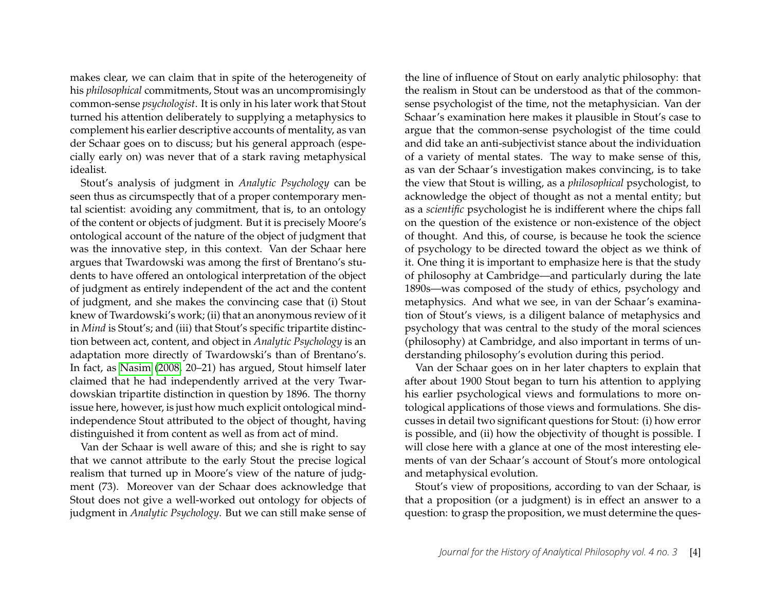makes clear, we can claim that in spite of the heterogeneity of his *philosophical* commitments, Stout was an uncompromisingly common-sense *psychologist*. It is only in his later work that Stout turned his attention deliberately to supplying a metaphysics to complement his earlier descriptive accounts of mentality, as van der Schaar goes on to discuss; but his general approach (especially early on) was never that of a stark raving metaphysical idealist.

Stout's analysis of judgment in *Analytic Psychology* can be seen thus as circumspectly that of a proper contemporary mental scientist: avoiding any commitment, that is, to an ontology of the content or objects of judgment. But it is precisely Moore's ontological account of the nature of the object of judgment that was the innovative step, in this context. Van der Schaar here argues that Twardowski was among the first of Brentano's students to have offered an ontological interpretation of the object of judgment as entirely independent of the act and the content of judgment, and she makes the convincing case that (i) Stout knew of Twardowski's work; (ii) that an anonymous review of it in *Mind* is Stout's; and (iii) that Stout's specific tripartite distinction between act, content, and object in *Analytic Psychology* is an adaptation more directly of Twardowski's than of Brentano's. In fact, as [Nasim](#page-6-4) [\(2008,](#page-6-4) 20–21) has argued, Stout himself later claimed that he had independently arrived at the very Twardowskian tripartite distinction in question by 1896. The thorny issue here, however, is just how much explicit ontological mindindependence Stout attributed to the object of thought, having distinguished it from content as well as from act of mind.

Van der Schaar is well aware of this; and she is right to say that we cannot attribute to the early Stout the precise logical realism that turned up in Moore's view of the nature of judgment (73). Moreover van der Schaar does acknowledge that Stout does not give a well-worked out ontology for objects of judgment in *Analytic Psychology*. But we can still make sense of

the line of influence of Stout on early analytic philosophy: that the realism in Stout can be understood as that of the commonsense psychologist of the time, not the metaphysician. Van der Schaar's examination here makes it plausible in Stout's case to argue that the common-sense psychologist of the time could and did take an anti-subjectivist stance about the individuation of a variety of mental states. The way to make sense of this, as van der Schaar's investigation makes convincing, is to take the view that Stout is willing, as a *philosophical* psychologist, to acknowledge the object of thought as not a mental entity; but as a *scientific* psychologist he is indifferent where the chips fall on the question of the existence or non-existence of the object of thought. And this, of course, is because he took the science of psychology to be directed toward the object as we think of it. One thing it is important to emphasize here is that the study of philosophy at Cambridge—and particularly during the late 1890s—was composed of the study of ethics, psychology and metaphysics. And what we see, in van der Schaar's examination of Stout's views, is a diligent balance of metaphysics and psychology that was central to the study of the moral sciences (philosophy) at Cambridge, and also important in terms of understanding philosophy's evolution during this period.

Van der Schaar goes on in her later chapters to explain that after about 1900 Stout began to turn his attention to applying his earlier psychological views and formulations to more ontological applications of those views and formulations. She discusses in detail two significant questions for Stout: (i) how error is possible, and (ii) how the objectivity of thought is possible. I will close here with a glance at one of the most interesting elements of van der Schaar's account of Stout's more ontological and metaphysical evolution.

Stout's view of propositions, according to van der Schaar, is that a proposition (or a judgment) is in effect an answer to a question: to grasp the proposition, we must determine the ques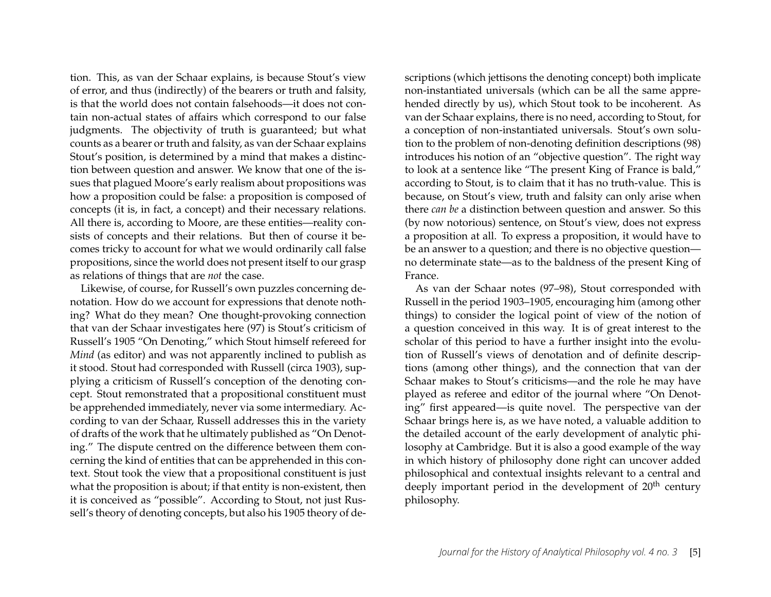tion. This, as van der Schaar explains, is because Stout's view of error, and thus (indirectly) of the bearers or truth and falsity, is that the world does not contain falsehoods—it does not contain non-actual states of affairs which correspond to our false judgments. The objectivity of truth is guaranteed; but what counts as a bearer or truth and falsity, as van der Schaar explains Stout's position, is determined by a mind that makes a distinction between question and answer. We know that one of the issues that plagued Moore's early realism about propositions was how a proposition could be false: a proposition is composed of concepts (it is, in fact, a concept) and their necessary relations. All there is, according to Moore, are these entities—reality consists of concepts and their relations. But then of course it becomes tricky to account for what we would ordinarily call false propositions, since the world does not present itself to our grasp as relations of things that are *not* the case.

Likewise, of course, for Russell's own puzzles concerning denotation. How do we account for expressions that denote nothing? What do they mean? One thought-provoking connection that van der Schaar investigates here (97) is Stout's criticism of Russell's 1905 "On Denoting," which Stout himself refereed for *Mind* (as editor) and was not apparently inclined to publish as it stood. Stout had corresponded with Russell (circa 1903), supplying a criticism of Russell's conception of the denoting concept. Stout remonstrated that a propositional constituent must be apprehended immediately, never via some intermediary. According to van der Schaar, Russell addresses this in the variety of drafts of the work that he ultimately published as "On Denoting." The dispute centred on the difference between them concerning the kind of entities that can be apprehended in this context. Stout took the view that a propositional constituent is just what the proposition is about; if that entity is non-existent, then it is conceived as "possible". According to Stout, not just Russell's theory of denoting concepts, but also his 1905 theory of descriptions (which jettisons the denoting concept) both implicate non-instantiated universals (which can be all the same apprehended directly by us), which Stout took to be incoherent. As van der Schaar explains, there is no need, according to Stout, for a conception of non-instantiated universals. Stout's own solution to the problem of non-denoting definition descriptions (98) introduces his notion of an "objective question". The right way to look at a sentence like "The present King of France is bald," according to Stout, is to claim that it has no truth-value. This is because, on Stout's view, truth and falsity can only arise when there *can be* a distinction between question and answer. So this (by now notorious) sentence, on Stout's view, does not express a proposition at all. To express a proposition, it would have to be an answer to a question; and there is no objective question no determinate state—as to the baldness of the present King of France.

As van der Schaar notes (97–98), Stout corresponded with Russell in the period 1903–1905, encouraging him (among other things) to consider the logical point of view of the notion of a question conceived in this way. It is of great interest to the scholar of this period to have a further insight into the evolution of Russell's views of denotation and of definite descriptions (among other things), and the connection that van der Schaar makes to Stout's criticisms—and the role he may have played as referee and editor of the journal where "On Denoting" first appeared—is quite novel. The perspective van der Schaar brings here is, as we have noted, a valuable addition to the detailed account of the early development of analytic philosophy at Cambridge. But it is also a good example of the way in which history of philosophy done right can uncover added philosophical and contextual insights relevant to a central and deeply important period in the development of 20<sup>th</sup> century philosophy.